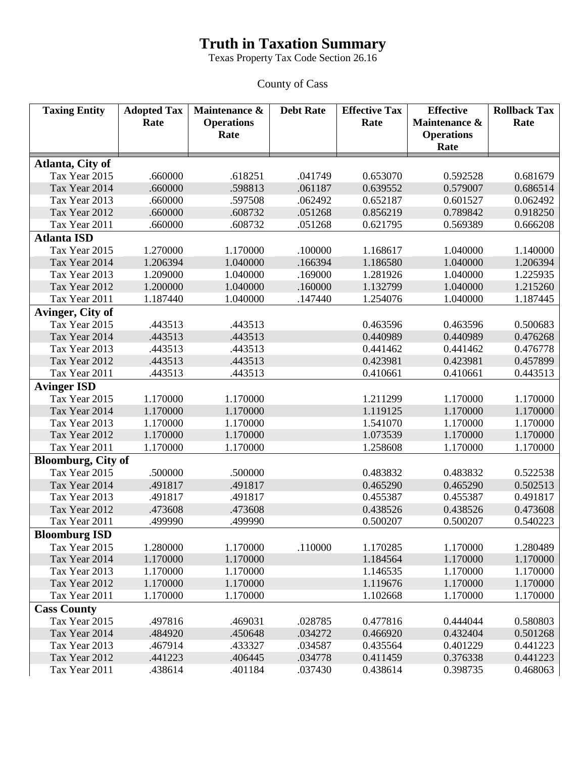## **Truth in Taxation Summary**

Texas Property Tax Code Section 26.16

County of Cass

| <b>Taxing Entity</b>      | <b>Adopted Tax</b><br>Rate | Maintenance &<br><b>Operations</b> | <b>Debt Rate</b> | <b>Effective Tax</b><br>Rate | <b>Effective</b><br>Maintenance & | <b>Rollback Tax</b><br>Rate |
|---------------------------|----------------------------|------------------------------------|------------------|------------------------------|-----------------------------------|-----------------------------|
|                           |                            | Rate                               |                  |                              | <b>Operations</b>                 |                             |
|                           |                            |                                    |                  |                              | Rate                              |                             |
| Atlanta, City of          |                            |                                    |                  |                              |                                   |                             |
| Tax Year 2015             | .660000                    | .618251                            | .041749          | 0.653070                     | 0.592528                          | 0.681679                    |
| Tax Year 2014             | .660000                    | .598813                            | .061187          | 0.639552                     | 0.579007                          | 0.686514                    |
| Tax Year 2013             | .660000                    | .597508                            | .062492          | 0.652187                     | 0.601527                          | 0.062492                    |
| Tax Year 2012             | .660000                    | .608732                            | .051268          | 0.856219                     | 0.789842                          | 0.918250                    |
| Tax Year 2011             | .660000                    | .608732                            | .051268          | 0.621795                     | 0.569389                          | 0.666208                    |
| <b>Atlanta ISD</b>        |                            |                                    |                  |                              |                                   |                             |
| Tax Year 2015             | 1.270000                   | 1.170000                           | .100000          | 1.168617                     | 1.040000                          | 1.140000                    |
| Tax Year 2014             | 1.206394                   | 1.040000                           | .166394          | 1.186580                     | 1.040000                          | 1.206394                    |
| Tax Year 2013             | 1.209000                   | 1.040000                           | .169000          | 1.281926                     | 1.040000                          | 1.225935                    |
| Tax Year 2012             | 1.200000                   | 1.040000                           | .160000          | 1.132799                     | 1.040000                          | 1.215260                    |
| Tax Year 2011             | 1.187440                   | 1.040000                           | .147440          | 1.254076                     | 1.040000                          | 1.187445                    |
| Avinger, City of          |                            |                                    |                  |                              |                                   |                             |
| Tax Year 2015             | .443513                    | .443513                            |                  | 0.463596                     | 0.463596                          | 0.500683                    |
| Tax Year 2014             | .443513                    | .443513                            |                  | 0.440989                     | 0.440989                          | 0.476268                    |
| Tax Year 2013             | .443513                    | .443513                            |                  | 0.441462                     | 0.441462                          | 0.476778                    |
| Tax Year 2012             | .443513                    | .443513                            |                  | 0.423981                     | 0.423981                          | 0.457899                    |
| Tax Year 2011             | .443513                    | .443513                            |                  | 0.410661                     | 0.410661                          | 0.443513                    |
| <b>Avinger ISD</b>        |                            |                                    |                  |                              |                                   |                             |
| Tax Year 2015             | 1.170000                   | 1.170000                           |                  | 1.211299                     | 1.170000                          | 1.170000                    |
| Tax Year 2014             | 1.170000                   | 1.170000                           |                  | 1.119125                     | 1.170000                          | 1.170000                    |
| Tax Year 2013             | 1.170000                   | 1.170000                           |                  | 1.541070                     | 1.170000                          | 1.170000                    |
| Tax Year 2012             | 1.170000                   | 1.170000                           |                  | 1.073539                     | 1.170000                          | 1.170000                    |
| Tax Year 2011             | 1.170000                   | 1.170000                           |                  | 1.258608                     | 1.170000                          | 1.170000                    |
| <b>Bloomburg, City of</b> |                            |                                    |                  |                              |                                   |                             |
| Tax Year 2015             | .500000                    | .500000                            |                  | 0.483832                     | 0.483832                          | 0.522538                    |
| Tax Year 2014             | .491817                    | .491817                            |                  | 0.465290                     | 0.465290                          | 0.502513                    |
| Tax Year 2013             | .491817                    | .491817                            |                  | 0.455387                     | 0.455387                          | 0.491817                    |
| Tax Year 2012             | .473608                    | .473608                            |                  | 0.438526                     | 0.438526                          | 0.473608                    |
| Tax Year 2011             | .499990                    | .499990                            |                  | 0.500207                     | 0.500207                          | 0.540223                    |
| <b>Bloomburg ISD</b>      |                            |                                    |                  |                              |                                   |                             |
| Tax Year 2015             | 1.280000                   | 1.170000                           | .110000          | 1.170285                     | 1.170000                          | 1.280489                    |
| Tax Year 2014             | 1.170000                   | 1.170000                           |                  | 1.184564                     | 1.170000                          | 1.170000                    |
| Tax Year 2013             | 1.170000                   | 1.170000                           |                  | 1.146535                     | 1.170000                          | 1.170000                    |
| Tax Year 2012             | 1.170000                   | 1.170000                           |                  | 1.119676                     | 1.170000                          | 1.170000                    |
| Tax Year 2011             | 1.170000                   | 1.170000                           |                  | 1.102668                     | 1.170000                          | 1.170000                    |
| <b>Cass County</b>        |                            |                                    |                  |                              |                                   |                             |
| Tax Year 2015             | .497816                    | .469031                            | .028785          | 0.477816                     | 0.444044                          | 0.580803                    |
| Tax Year 2014             | .484920                    | .450648                            | .034272          | 0.466920                     | 0.432404                          | 0.501268                    |
| Tax Year 2013             | .467914                    | .433327                            | .034587          | 0.435564                     | 0.401229                          | 0.441223                    |
| Tax Year 2012             | .441223                    | .406445                            | .034778          | 0.411459                     | 0.376338                          | 0.441223                    |
| Tax Year 2011             | .438614                    | .401184                            | .037430          | 0.438614                     | 0.398735                          | 0.468063                    |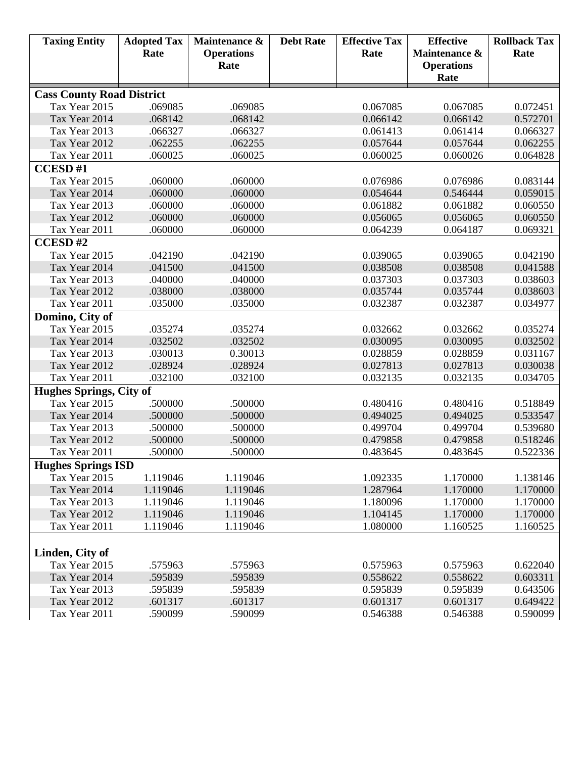| <b>Taxing Entity</b>             | <b>Adopted Tax</b> | Maintenance &      | <b>Debt Rate</b> | <b>Effective Tax</b> | <b>Effective</b>  | <b>Rollback Tax</b>  |  |
|----------------------------------|--------------------|--------------------|------------------|----------------------|-------------------|----------------------|--|
|                                  | Rate               | <b>Operations</b>  |                  | Rate                 | Maintenance &     | Rate                 |  |
|                                  |                    | Rate               |                  |                      | <b>Operations</b> |                      |  |
|                                  |                    |                    |                  |                      | Rate              |                      |  |
| <b>Cass County Road District</b> |                    |                    |                  |                      |                   |                      |  |
| Tax Year 2015                    | .069085            | .069085            |                  | 0.067085             | 0.067085          | 0.072451             |  |
| Tax Year 2014                    | .068142            | .068142            |                  | 0.066142             | 0.066142          | 0.572701             |  |
| Tax Year 2013                    | .066327            | .066327            |                  | 0.061413             | 0.061414          | 0.066327             |  |
| Tax Year 2012                    | .062255            | .062255            |                  | 0.057644             | 0.057644          | 0.062255             |  |
| Tax Year 2011                    | .060025            | .060025            |                  | 0.060025             | 0.060026          | 0.064828             |  |
| <b>CCESD#1</b>                   |                    |                    |                  |                      |                   |                      |  |
| Tax Year 2015                    | .060000            | .060000            |                  | 0.076986             | 0.076986          | 0.083144             |  |
| Tax Year 2014                    | .060000            | .060000            |                  | 0.054644             | 0.546444          | 0.059015             |  |
| Tax Year 2013                    | .060000            | .060000            |                  | 0.061882             | 0.061882          | 0.060550             |  |
| Tax Year 2012                    | .060000            | .060000            |                  | 0.056065             | 0.056065          | 0.060550             |  |
| Tax Year 2011                    | .060000            | .060000            |                  | 0.064239             | 0.064187          | 0.069321             |  |
| <b>CCESD#2</b>                   |                    |                    |                  |                      |                   |                      |  |
| Tax Year 2015                    | .042190            | .042190            |                  | 0.039065             | 0.039065          | 0.042190             |  |
| Tax Year 2014                    | .041500            | .041500            |                  | 0.038508             | 0.038508          | 0.041588             |  |
| Tax Year 2013                    | .040000            | .040000            |                  | 0.037303             | 0.037303          | 0.038603             |  |
| Tax Year 2012                    | .038000            | .038000            |                  | 0.035744             | 0.035744          | 0.038603             |  |
| Tax Year 2011                    | .035000            | .035000            |                  | 0.032387             | 0.032387          | 0.034977             |  |
| Domino, City of                  |                    |                    |                  |                      |                   |                      |  |
| Tax Year 2015                    | .035274            | .035274            |                  | 0.032662             | 0.032662          | 0.035274             |  |
| Tax Year 2014                    | .032502            | .032502            |                  | 0.030095             | 0.030095          | 0.032502             |  |
| Tax Year 2013                    | .030013            | 0.30013            |                  | 0.028859             | 0.028859          | 0.031167             |  |
| Tax Year 2012                    | .028924            | .028924            |                  | 0.027813             | 0.027813          | 0.030038             |  |
| Tax Year 2011                    | .032100            | .032100            |                  | 0.032135             | 0.032135          | 0.034705             |  |
| <b>Hughes Springs, City of</b>   |                    |                    |                  |                      |                   |                      |  |
| Tax Year 2015                    | .500000            | .500000            |                  | 0.480416             | 0.480416          | 0.518849             |  |
| Tax Year 2014                    | .500000            | .500000            |                  | 0.494025             | 0.494025          | 0.533547             |  |
| Tax Year 2013                    | .500000            | .500000            |                  | 0.499704             | 0.499704          | 0.539680             |  |
| Tax Year 2012                    | .500000            | .500000            |                  | 0.479858             | 0.479858          | 0.518246             |  |
| Tax Year 2011                    | .500000            | .500000            |                  | 0.483645             | 0.483645          | 0.522336             |  |
| <b>Hughes Springs ISD</b>        |                    |                    |                  |                      |                   |                      |  |
| Tax Year 2015                    | 1.119046           | 1.119046           |                  | 1.092335             | 1.170000          | 1.138146             |  |
| Tax Year 2014                    | 1.119046           | 1.119046           |                  | 1.287964             | 1.170000          | 1.170000             |  |
| Tax Year 2013                    | 1.119046           | 1.119046           |                  | 1.180096             | 1.170000          | 1.170000             |  |
| Tax Year 2012                    | 1.119046           | 1.119046           |                  | 1.104145             | 1.170000          | 1.170000             |  |
| Tax Year 2011                    | 1.119046           | 1.119046           |                  | 1.080000             | 1.160525          | 1.160525             |  |
|                                  |                    |                    |                  |                      |                   |                      |  |
| Linden, City of                  |                    |                    |                  |                      |                   |                      |  |
| Tax Year 2015                    | .575963            | .575963            |                  | 0.575963             | 0.575963          | 0.622040             |  |
| Tax Year 2014<br>Tax Year 2013   | .595839            | .595839            |                  | 0.558622             | 0.558622          | 0.603311             |  |
| Tax Year 2012                    | .595839<br>.601317 | .595839<br>.601317 |                  | 0.595839             | 0.595839          | 0.643506<br>0.649422 |  |
|                                  |                    |                    |                  | 0.601317             | 0.601317          |                      |  |
| Tax Year 2011                    | .590099            | .590099            |                  | 0.546388             | 0.546388          | 0.590099             |  |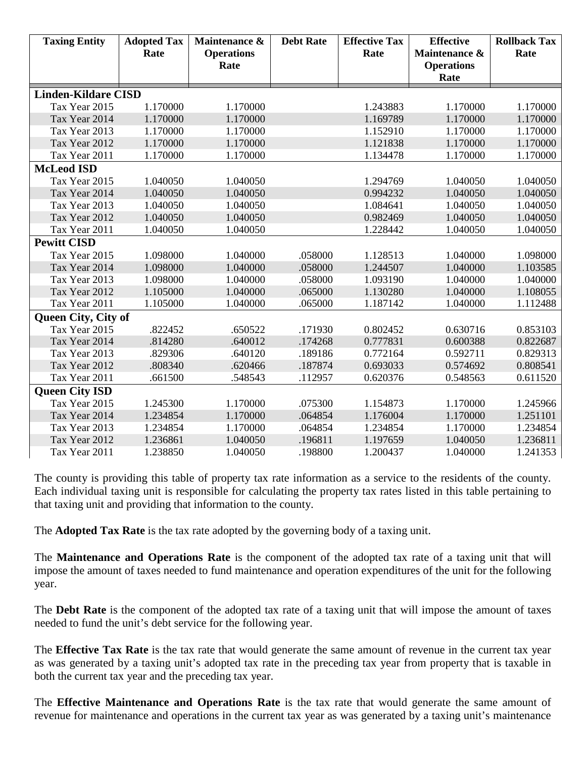| <b>Taxing Entity</b>       | <b>Adopted Tax</b> | Maintenance &     | <b>Debt Rate</b> | <b>Effective Tax</b> | <b>Effective</b>  | <b>Rollback Tax</b> |
|----------------------------|--------------------|-------------------|------------------|----------------------|-------------------|---------------------|
|                            | Rate               | <b>Operations</b> |                  | Rate                 | Maintenance &     | Rate                |
|                            |                    | Rate              |                  |                      | <b>Operations</b> |                     |
|                            |                    |                   |                  |                      | Rate              |                     |
| <b>Linden-Kildare CISD</b> |                    |                   |                  |                      |                   |                     |
| Tax Year 2015              | 1.170000           | 1.170000          |                  | 1.243883             | 1.170000          | 1.170000            |
| Tax Year 2014              | 1.170000           | 1.170000          |                  | 1.169789             | 1.170000          | 1.170000            |
| Tax Year 2013              | 1.170000           | 1.170000          |                  | 1.152910             | 1.170000          | 1.170000            |
| Tax Year 2012              | 1.170000           | 1.170000          |                  | 1.121838             | 1.170000          | 1.170000            |
| Tax Year 2011              | 1.170000           | 1.170000          |                  | 1.134478             | 1.170000          | 1.170000            |
| <b>McLeod ISD</b>          |                    |                   |                  |                      |                   |                     |
| Tax Year 2015              | 1.040050           | 1.040050          |                  | 1.294769             | 1.040050          | 1.040050            |
| Tax Year 2014              | 1.040050           | 1.040050          |                  | 0.994232             | 1.040050          | 1.040050            |
| Tax Year 2013              | 1.040050           | 1.040050          |                  | 1.084641             | 1.040050          | 1.040050            |
| Tax Year 2012              | 1.040050           | 1.040050          |                  | 0.982469             | 1.040050          | 1.040050            |
| Tax Year 2011              | 1.040050           | 1.040050          |                  | 1.228442             | 1.040050          | 1.040050            |
| <b>Pewitt CISD</b>         |                    |                   |                  |                      |                   |                     |
| Tax Year 2015              | 1.098000           | 1.040000          | .058000          | 1.128513             | 1.040000          | 1.098000            |
| Tax Year 2014              | 1.098000           | 1.040000          | .058000          | 1.244507             | 1.040000          | 1.103585            |
| Tax Year 2013              | 1.098000           | 1.040000          | .058000          | 1.093190             | 1.040000          | 1.040000            |
| Tax Year 2012              | 1.105000           | 1.040000          | .065000          | 1.130280             | 1.040000          | 1.108055            |
| Tax Year 2011              | 1.105000           | 1.040000          | .065000          | 1.187142             | 1.040000          | 1.112488            |
| <b>Queen City, City of</b> |                    |                   |                  |                      |                   |                     |
| Tax Year 2015              | .822452            | .650522           | .171930          | 0.802452             | 0.630716          | 0.853103            |
| Tax Year 2014              | .814280            | .640012           | .174268          | 0.777831             | 0.600388          | 0.822687            |
| Tax Year 2013              | .829306            | .640120           | .189186          | 0.772164             | 0.592711          | 0.829313            |
| Tax Year 2012              | .808340            | .620466           | .187874          | 0.693033             | 0.574692          | 0.808541            |
| Tax Year 2011              | .661500            | .548543           | .112957          | 0.620376             | 0.548563          | 0.611520            |
| <b>Queen City ISD</b>      |                    |                   |                  |                      |                   |                     |
| Tax Year 2015              | 1.245300           | 1.170000          | .075300          | 1.154873             | 1.170000          | 1.245966            |
| Tax Year 2014              | 1.234854           | 1.170000          | .064854          | 1.176004             | 1.170000          | 1.251101            |
| Tax Year 2013              | 1.234854           | 1.170000          | .064854          | 1.234854             | 1.170000          | 1.234854            |
| Tax Year 2012              | 1.236861           | 1.040050          | .196811          | 1.197659             | 1.040050          | 1.236811            |
| Tax Year 2011              | 1.238850           | 1.040050          | .198800          | 1.200437             | 1.040000          | 1.241353            |

The county is providing this table of property tax rate information as a service to the residents of the county. Each individual taxing unit is responsible for calculating the property tax rates listed in this table pertaining to that taxing unit and providing that information to the county.

The **Adopted Tax Rate** is the tax rate adopted by the governing body of a taxing unit.

The **Maintenance and Operations Rate** is the component of the adopted tax rate of a taxing unit that will impose the amount of taxes needed to fund maintenance and operation expenditures of the unit for the following year.

The **Debt Rate** is the component of the adopted tax rate of a taxing unit that will impose the amount of taxes needed to fund the unit's debt service for the following year.

The **Effective Tax Rate** is the tax rate that would generate the same amount of revenue in the current tax year as was generated by a taxing unit's adopted tax rate in the preceding tax year from property that is taxable in both the current tax year and the preceding tax year.

The **Effective Maintenance and Operations Rate** is the tax rate that would generate the same amount of revenue for maintenance and operations in the current tax year as was generated by a taxing unit's maintenance